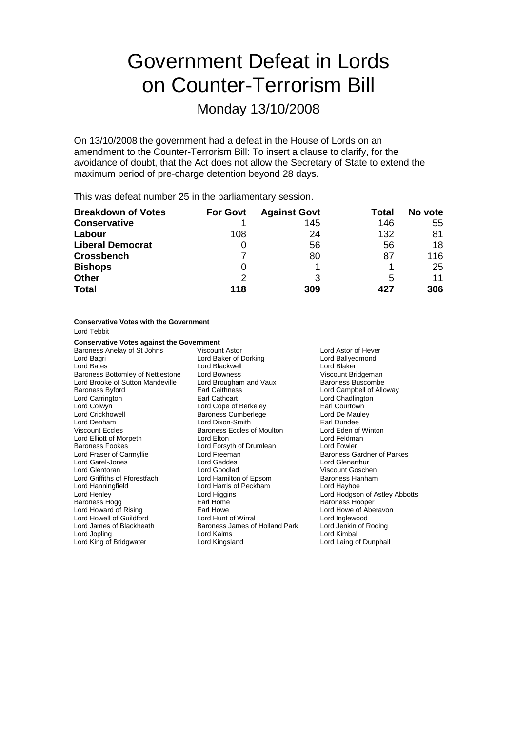# Government Defeat in Lords on Counter-Terrorism Bill

Monday 13/10/2008

On 13/10/2008 the government had a defeat in the House of Lords on an amendment to the Counter-Terrorism Bill: To insert a clause to clarify, for the avoidance of doubt, that the Act does not allow the Secretary of State to extend the maximum period of pre-charge detention beyond 28 days.

This was defeat number 25 in the parliamentary session.

| <b>Breakdown of Votes</b> | <b>For Govt</b> | <b>Against Govt</b> | Total | No vote |
|---------------------------|-----------------|---------------------|-------|---------|
| <b>Conservative</b>       |                 | 145                 | 146   | 55      |
| Labour                    | 108             | 24                  | 132   | 81      |
| <b>Liberal Democrat</b>   |                 | 56                  | 56    | 18      |
| <b>Crossbench</b>         |                 | 80                  | 87    | 116     |
| <b>Bishops</b>            | 0               |                     |       | 25      |
| <b>Other</b>              | 2               | 3                   | 5     | 11      |
| <b>Total</b>              | 118             | 309                 | 427   | 306     |

### **Conservative Votes with the Government**

Lord Tebbit

### **Conservative Votes against the Government**

Baroness Anelay of St Johns Viscount Astor Communisty Charless Anelay of St Johns Viscount Astor Communisty Ch<br>
Lord Baker of Dorking Charles Lord Ballyedmond Lord Bagri Lord Baker of Dorking Lord Ballyedmond Ballyedmond Lord Ballyedmond Lord Ballyedmond Lord Baker<br>Cord Bates Lord Blackwell Lord Blackwell **Lord Blaker**<br>
Lord Bowness<br>
Viscount Bridgeman Baroness Bottomley of Nettlestone Lord Bowness Lord Brooke of Sutton Mandeville Lord Brougham and Vaux Baroness Buscombe<br>Baroness Bvford Baroness Lord Cannel of Allc Lord Campbell of Alloway Lord Carrington **Earl Cathcart** Earl Communication Lord Chadlington Lord Colwyn Lord Cope of Berkeley Earl Courtown Lord Crickhowell **Example 2** Baroness Cumberlege **Lord De Mault Cord De Mault Cord De Mault Cord De Mauley Cord De Mauley**<br>
Lord Denham **Lord Dixon-Smith Cord De Lord De Lord De** Lord De Mauley Lord Dixon-Smith<br>
Baroness Eccles of Moulton<br>
Lord Eden of Winton Viscount Eccles Baroness Eccles of Moulton Lord Elliott of Morpeth Lord Elton Lord Elton Lord Elton Lord Feldman<br>
Baroness Fookes Lord Forsyth of Drumlean Lord Fowler Baroness Fookes Lord Forsyth of Drumlean Lord Fowler Baroness Gardner of Parkes Lord Garel-Jones Lord Geddes Lord Glenarthur Lord Goodlad Viscount Goschen<br>
Lord Hamilton of Epsom Baroness Hanham Lord Griffiths of Fforestfach Lord Hamilton of Epsom Baroness Hanningfield Lord Harning Lord Hayhoe<br>
Lord Harningfield Lord Harning Lord Harning Lord Hayhoe Lord Harris of Peckham Lord Henley **Lord Higgins**<br>
Lord Home **Lord Home Lord Home Lord Home Baroness Hooper Baroness** Hooper Baroness Hogg **Earl Home** Baroness Hooper **Baroness Hooper**<br> **Baroness Hogg Comparison**<br>
Baroness Howe Baroness Howe Baroness Howe of Abe Earl Howe Music Cord Howe of Aberavon<br>
Lord Howard Lord Inglewood<br>
Lord Inglewood Lord Howell of Guildford Lord Hunt of Wirral Lord Inglewood Lord James of Blackheath Baroness James of Holland Park<br>
Lord Jopling Cord Kalms Lord Kimball Lord King of Bridgwater Lord Kingsland Lord Laing of Dunphail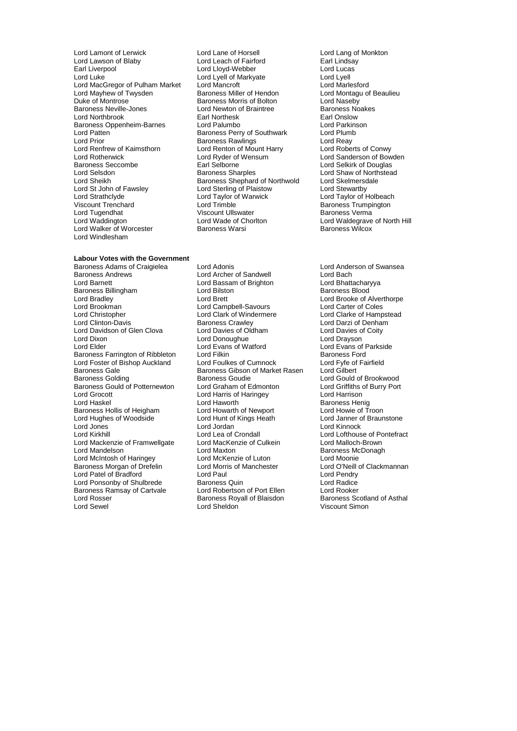Lord Lamont of Lerwick Lord Lane of Horsell Lord Lang of Monkton<br>
Lord Lawson of Blaby Lord Leach of Fairford Earl Lindsay Lord Lawson of Blaby Lord Leach of Fairford<br>
Earl Liverpool Carl Lord Llovd-Webber Lord Luke Lord Lyell of Markyate Lord Lyell Lord MacGregor of Pulham Market Lord Mancroft (Changle Lord Marlesford Lord Marlesford Lord Marcroft Lord Mancroft Changles Lord Marcroft Lord Montagu of Beaulieu Lord Mayhew of Twysden Baroness Miller of Hendon<br>
Duke of Montrose Baroness Morris of Bolton Lord Naseby Baroness Neville-Jones **Lord Newton of Braintree** Baroness Newton of Braintree Baroness No<br>
Lord Northbrook **Earl Noakes** Earl Northesk **Earl Onslow** Lord Northbrook Earl Northesk Earl Onslow Baroness Oppenheim-Barnes Lord Palumbo<br>
Lord Patten Cord Parkins<br>
Lord Patten Cord Plumb Baroness Perry of Southwark Lord Plumb Lord Patten **Communist Communist Perry of Southwark** Lord Plumb<br>Lord Prior **Communist Prior Communist Perry Communist Prior Prior Prior Prior Prior Prior Prior Prior Prior Prio** Lord Prior<br>
Lord Reay Cord Reason Baroness Rawlings<br>
Lord Renfrew of Kaimsthorn Cord Renton of Mount Harry Lord Roberts of Conwy Lord Renfrew of Kaimsthorn Lord Renton of Mount Harry<br>
Lord Rotherwick Conwy Lord Ryder of Wensum Lord Rotherwick Lord Ryder of Wensum Lord Sanderson of Bowden<br>
Baroness Seccombe Earl Selborne Lord Selkirk of Douglas Baroness Seccombe **Earl Selborne** Earl Selborne Lord Selkirk of Douglas<br>
Lord Selsdon **Consumers Secure Secure Services**<br>
Lord Shaw of Northstea Lord Selsdon **Baroness Sharples** Lord Shaw of Northstead<br>
Lord Sheikh **Baroness Shephard of Northwold** Lord Skelmersdale Lord Sheikh Baroness Shephard of Northwold Lord Skelmersc<br>
Lord St John of Fawsley Lord Sterling of Plaistow Lord Stewartby Lord St John of Fawsley Lord Sterling of Plaistow<br>
Lord Strathclyde Lord Taylor of Warwick Lord Strathclyde Lord Taylor of Warwick Lord Taylor of Holbeach Lord Tugendhat Viscount Ullswater<br>
Lord Waddington<br>
Lord Waddington Lord Waddington **Lord Wade of Chorlton** Lord Waldegrave of North Hill<br>
Lord Walker of Worcester **Baroness Warsi** Baroness Wilcox Lord Walker of Worcester Lord Windlesham

### **Labour Votes with the Government**

Baroness Andrews **Example 2** Lord Archer of Sandwell **Lord Bach Lord Bach**<br>
Lord Bassam of Brighton **Lord Bhattacharyya** Baroness Billingham Lord Bradley Lord Brett Lord Brooke of Alverthorpe Lord Brookman Lord Campbell-Savours Lord Carter of Coles Lord Christopher **Lord Clark of Windermere** Lord Clarke of Hampstead<br>
Lord Clinton-Davis **Collect Clark Clark Clark of Clarke Clary**<br>
Lord Darzi of Denham Lord Davidson of Glen Clova Lord Davies of Oldham Lord Davies of Coity Lord Dixon Lord Donoughue Lord Drayson Baroness Farrington of Ribbleton Lord Foster of Bishop Auckland Lord Foulkes of Cumnock Lord Fyfe of Fairfield Baroness Gale **Baroness Gibson of Market Rasen**<br>Baroness Golding **Baroness Goudie** Baroness Gould of Potternewton Lord Graham of Edmonton Lord Griffiths control Cord Graham Lord Harrison Lord Harrison Lord Grocott **Lord Harris of Haringey**<br>
Lord Haskel **Lord Haworth** Baroness Hollis of Heigham Lord Howarth of Newport Lord Hughes of Woodside **Lord Hunt of Kings Heath** Lord Janner of Braunstone<br>
Lord Jones Lord Lord Lord Lord Lord Lord Kinnock Lord Jones Lord Jordan Lord Jordan Lord Kirkhill<br>Lord Kirkhill Lord Lea of Crondall Lord Mackenzie of Framwellgate Lord MacKer<br>Lord Mandelson Lord Maxton Lord McIntosh of Haringey Lord McKenzie of Luton Lord Moonie<br>Baroness Morgan of Drefelin Lord Morris of Manchester Lord O'Neill of Clackmannan Baroness Morgan of Drefelin Lord Morris of Manchester Lord O'Neill<br>
Lord Patel of Bradford Lord Paul Lord Paul Lord Pendry Lord Patel of Bradford Lord Paul Lord Pendry Lord Ponsonby of Shulbrede Baroness Quin Cord Ponsonby of Shulbrede Baroness Quin Lord Radice<br>
Baroness Ramsay of Cartvale Lord Robertson of Port Ellen Lord Rooker Baroness Ramsay of Cartvale Lord Robertson of Port Ellen Lord Rooker Lord Rosser Baroness Royall of Blaisdon<br>
Lord Sewel Scotland Lord Sheldon

Lord Lloyd-Webber Lord Lucas Baroness Morris of Bolton Lord Naseby<br>
Lord Newton of Braintree Baroness Noakes Lord Trimble<br>
Viscount Ullswater<br>
Viscount Ullswater<br>
Baroness Verma

Baroness Adams of Craigielea Lord Adonis Lord Anderson of Swansea Lord Bassam of Brighton **Lord Bhattachary**<br>Lord Bilston Lord Baroness Blood Examples Crawley **Carry Control Clinton-David Clinton-David Clinton-**<br>
Lord Davies of Oldham<br>
Lord Davies of Coity Lord Evans of Watford Lord Evans of Parkside<br>
Lord Filkin Baroness Ford Baroness Goudie Lord Gould of Brookwood<br>Lord Graham of Edmonton Lord Griffiths of Burry Port Lord Lea of Crondall Lord Lofthouse of Pontefract<br>
Lord MacKenzie of Culkein Lord Malloch-Brown

Baroness Henig<br>Lord Howie of Troon Baroness McDonagh Viscount Simon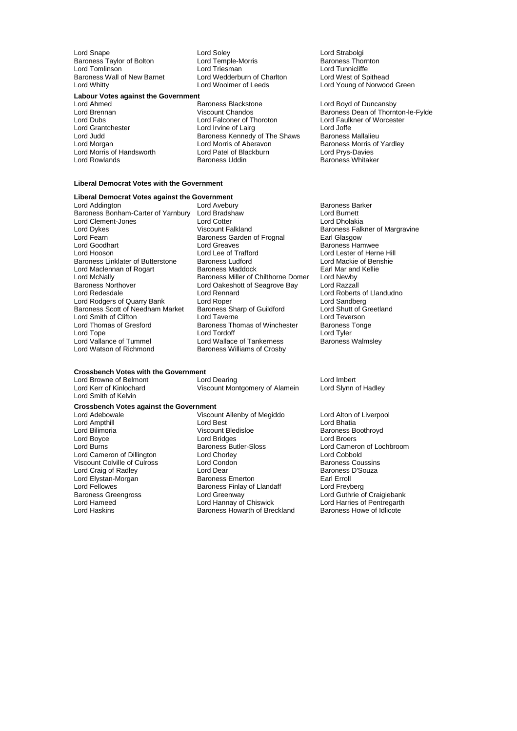Lord Snape Lord Soley Lord Soley<br>
Lord Temple-Morris Communication Coronal Saroness Thornton<br>
Lord Temple-Morris Communication Baroness Thornton Baroness Taylor of Bolton **Lord Temple-Morris** Chromess Thorness Thorn<br>Cord Tomlinson Lord Triesman Lord Triesman Lord Tomlinson Lord Triesman Lord Theorem Lord Tunnicliffe<br>
Baroness Wall of New Barnet Lord Wedderburn of Charlton Lord West of Spithead Baroness Wall of New Barnet Lord Wedderburn of Charles Corp.<br>
Lord Whitty Lord Woolmer of Leeds

### **Labour Votes against the Government**

- Lord Morris of Handsworth
- Lord Ahmed Baroness Blackstone Lord Boyd of Duncansby Lord Dubs Lord Falconer of Thoroton Lord Faulkner of Worcester Lord Irvine of Lairg Lord Judd Baroness Kennedy of The Shaws Baroness Mallalieu Lord Morgan Lord Morris of Aberavon Baroness Morris of Yardley Lord Rowlands Baroness Uddin Baroness Whitaker

Lord Young of Norwood Green

Lord Brennan **Communist Chandos** Viscount Chandos **Baroness Dean of Thornton-le-Fylde**<br>
Lord Cubs
Lord Cubs
Lord Cubs
Lord Cubs
Lord Cubs
Lord Cubs
Lord Cubs
Lord Cubs
Lord Cubs
Lord Cubs
Lord Cubs
Lord Cubs
Lord Cubs
Lord

#### **Liberal Democrat Votes with the Government**

### **Liberal Democrat Votes against the Government**

Baroness Bonham-Carter of Yarnbury Lord Bradshaw Lord Clement-Jones Lord Cotter Lord Cotter Lord Dholakia<br>
Lord Dykes Lord Dholakia Uiscount Falkland<br>
Lord Dykes Lord Dholakia Uiscount Falkland Lord Dykes **Viscount Falkland** Baroness Falkner of Margravine<br>
Baroness Garden of Frognal Farl Glasgow<br>
Baroness Garden of Frognal Farl Glasgow Lord Fearn Fund Control Baroness Garden of Frognal Lord Greaves Lord Goodhart **Lord Greaves** Lord Greaves **Baroness Hamwee**<br>
Lord Hooson **Baroness Hammed Lord Lord Lord Lord Lester of Hern** Baroness Linklater of Butterstone Baroness Ludford Lord Mackie of Benshield Lord Mackie of Benshield Lord Mackie of Benshield Lord Mackie of Benshield Lord Mackie of Benshield Baroness Maddock Earl Mar and Kellie Lord Maclennan of Rogart Lord McNally **Lord McNally**<br>
Baroness Northover **Baroness Miller of Chilthorne Domer** Lord Newby<br>
Lord Oakeshott of Seagrove Bay Lord Razzall Baroness Northover **Lord Oakeshott of Seagrove Bay**<br>
Lord Redesdale **Lord Rennard** Lord Rodgers of Quarry Bank Lord Roper Lord Cuildford Lord Sandberg<br>
Baroness Scott of Needham Market Baroness Sharp of Guildford Lord Shutt of Greetland Baroness Scott of Needham Market Baroness Sharp of Guildford Lord Shutt of G<br>Lord Smith of Clifton Lord Taverne Lord Teverson Lord Smith of Clifton Lord Taverne Lord Teverson Lord Tope Lord Tordoff Cord Tordoff Lord Tordoff Lord Tyler<br>
Lord Vallance of Tummel Lord Wallace of Tankerness Baroness Walmsley Lord Vallance of Tummel<br>
Lord Watson of Richmond<br>
Baroness Williams of Crosby

Lord Lee of Trafford<br>
Baroness Ludford 
Baroness Ludford

Lord Mackie of Benshie Lord Rennard Lord Roberts of Llandudno<br>
Lord Robert Lord Sandberg<br>
Lord Sandberg Baroness Thomas of Winchester Baroness Williams of Crosby

## **Crossbench Votes with the Government**<br>Lord Browne of Belmont Lord Dearing

Lord Browne of Belmont Lord Dearing Lord Dearing Lord Imbert<br>
Lord Kerr of Kinlochard Cliccount Montgomery of Alamein Lord Slynn of Hadley Viscount Montgomery of Alamein

### **Crossbench Votes against the Government**

Lord Boyce **Lord Bridges**<br>
Lord Burns **Lord Bridges**<br>
Lord Burns **Lord Bridges** 

Lord Smith of Kelvin

Viscount Allenby of Megiddo Lord Alton of Liverpool<br>
Lord Best<br>
Lord Bhatia Lord Ampthill Lord Best Lord Bhatia Lord Bilimoria Viscount Bledisloe Baroness Boothroyd Lord Burns Baroness Butler-Sloss Lord Cameron of Lochbroom Lord Cameron of Dillington Lord Chorley Lord Cobbold Viscount Colville of Culross Lord Condon Condon Baroness Coussins<br>Cord Craig of Radley Lord Dear Lord Dear Baroness D'Souza Lord Craig of Radley **Lord Dear Baroness**<br>
Lord Elystan-Morgan **Baroness Emerton** Baroness Emerton Earl Erroll Lord Elystan-Morgan **Carl Exercits Exercise Emerton** Earl Erroll<br>Lord Fellowes **Carl Exercise Exercise Exercise Enlay of Llandaff** Carl Exercise Lord Freyberg Lord Fellowes **Baroness Finlay of Llandaff** Baroness Finlay of Llandaff Baroness Greengross **Communist** Lord Greenway Baroness Greengross **Lord Greenway** Lord Greenway **Lord Guthrie of Craigiebank**<br>
Lord Hanneed Lord Hannav of Chiswick **Lord Harries of Pentregarth** Lord Hameed Lord Hannay of Chiswick Lord Harries of Pentregarth Baroness Howarth of Breckland

Baroness Barker<br>Lord Burnett